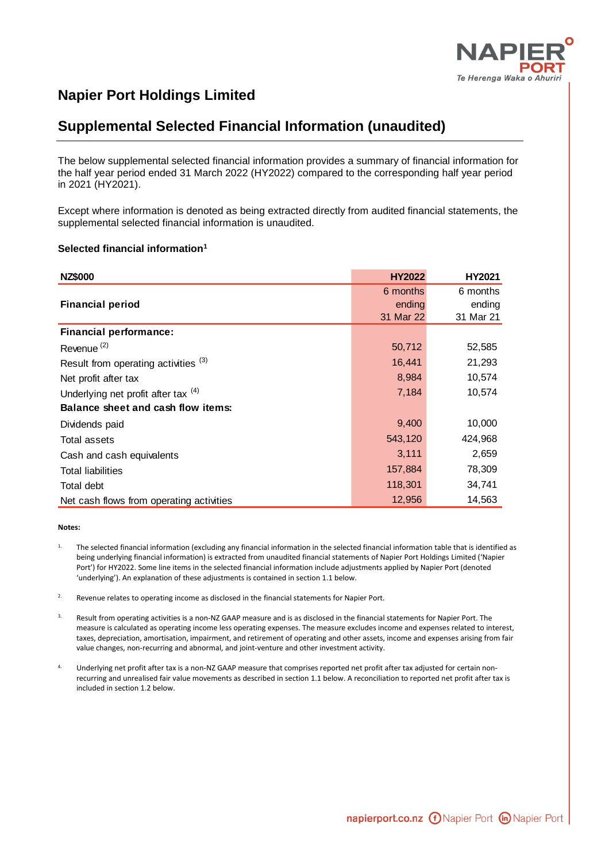

## **Napier Port Holdings Limited**

# **Supplemental Selected Financial Information (unaudited)**

The below supplemental selected financial information provides a summary of financial information for the half year period ended 31 March 2022 (HY2022) compared to the corresponding half year period in 2021 (HY2021).

Except where information is denoted as being extracted directly from audited financial statements, the supplemental selected financial information is unaudited.

#### **Selected financial information<sup>1</sup>**

| <b>NZ\$000</b>                           | <b>HY2022</b> | HY2021    |
|------------------------------------------|---------------|-----------|
|                                          | 6 months      | 6 months  |
| <b>Financial period</b>                  | ending        | ending    |
|                                          | 31 Mar 22     | 31 Mar 21 |
| <b>Financial performance:</b>            |               |           |
| Revenue <sup>(2)</sup>                   | 50,712        | 52,585    |
| Result from operating activities (3)     | 16,441        | 21,293    |
| Net profit after tax                     | 8,984         | 10,574    |
| Underlying net profit after tax (4)      | 7,184         | 10,574    |
| Balance sheet and cash flow items:       |               |           |
| Dividends paid                           | 9,400         | 10,000    |
| Total assets                             | 543,120       | 424,968   |
| Cash and cash equivalents                | 3,111         | 2,659     |
| <b>Total liabilities</b>                 | 157,884       | 78,309    |
| Total debt                               | 118,301       | 34,741    |
| Net cash flows from operating activities | 12,956        | 14,563    |

#### **Notes:**

- 1. The selected financial information (excluding any financial information in the selected financial information table that is identified as being underlying financial information) is extracted from unaudited financial statements of Napier Port Holdings Limited ('Napier Port') for HY2022. Some line items in the selected financial information include adjustments applied by Napier Port (denoted 'underlying'). An explanation of these adjustments is contained in section 1.1 below.
- <sup>2.</sup> Revenue relates to operating income as disclosed in the financial statements for Napier Port.
- <sup>3.</sup> Result from operating activities is a non-NZ GAAP measure and is as disclosed in the financial statements for Napier Port. The measure is calculated as operating income less operating expenses. The measure excludes income and expenses related to interest, taxes, depreciation, amortisation, impairment, and retirement of operating and other assets, income and expenses arising from fair value changes, non-recurring and abnormal, and joint-venture and other investment activity.
- Underlying net profit after tax is a non-NZ GAAP measure that comprises reported net profit after tax adjusted for certain nonrecurring and unrealised fair value movements as described in section 1.1 below. A reconciliation to reported net profit after tax is included in section 1.2 below.